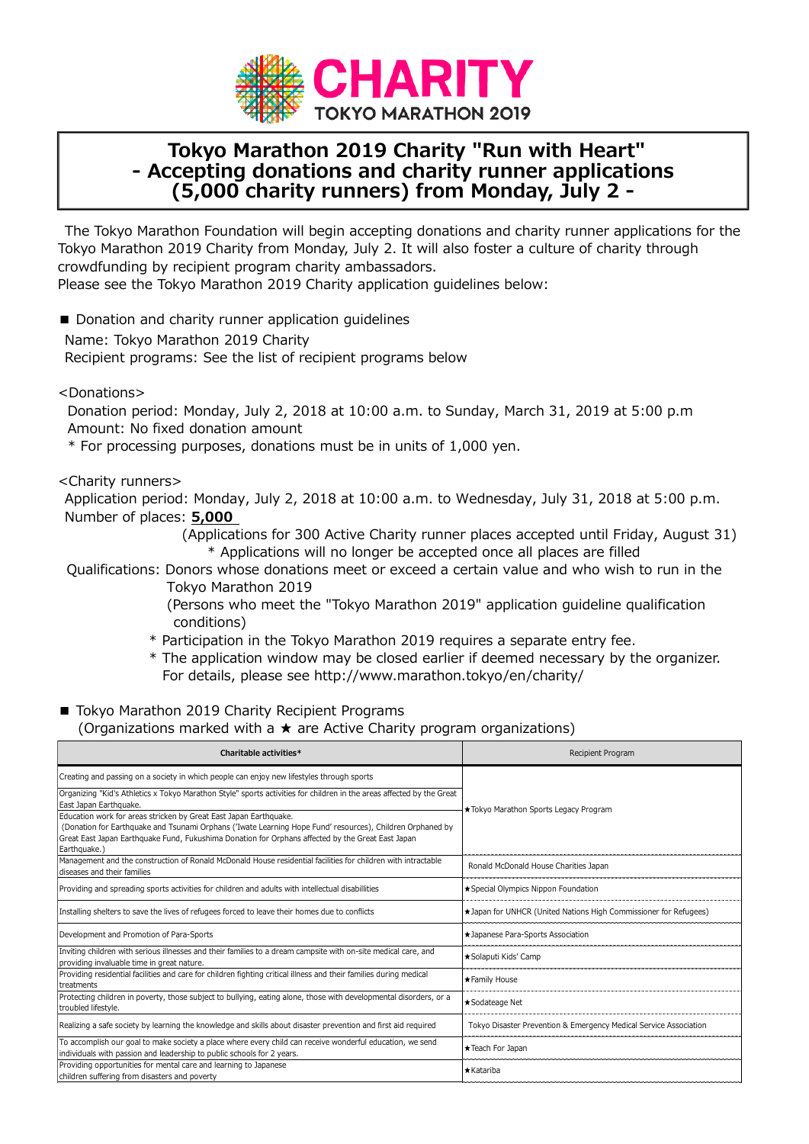

## **Tokyo Marathon 2019 Charity "Run with Heart" - Accepting donations and charity runner applications (5,000 charity runners) from Monday, July 2 -**

The Tokyo Marathon Foundation will begin accepting donations and charity runner applications for the Tokyo Marathon 2019 Charity from Monday, July 2. It will also foster a culture of charity through crowdfunding by recipient program charity ambassadors.

Please see the Tokyo Marathon 2019 Charity application guidelines below:

■ Donation and charity runner application guidelines

Name: Tokyo Marathon 2019 Charity

Recipient programs: See the list of recipient programs below

<Donations>

Donation period: Monday, July 2, 2018 at 10:00 a.m. to Sunday, March 31, 2019 at 5:00 p.m Amount: No fixed donation amount

\* For processing purposes, donations must be in units of 1,000 yen.

## <Charity runners>

Application period: Monday, July 2, 2018 at 10:00 a.m. to Wednesday, July 31, 2018 at 5:00 p.m. Number of places: **5,000**

> (Applications for 300 Active Charity runner places accepted until Friday, August 31) \* Applications will no longer be accepted once all places are filled

Qualifications: Donors whose donations meet or exceed a certain value and who wish to run in the Tokyo Marathon 2019

> (Persons who meet the "Tokyo Marathon 2019" application guideline qualification conditions)

- \* Participation in the Tokyo Marathon 2019 requires a separate entry fee.
- \* The application window may be closed earlier if deemed necessary by the organizer. For details, please see http://www.marathon.tokyo/en/charity/

## ■ Tokyo Marathon 2019 Charity Recipient Programs (Organizations marked with a ★ are Active Charity program organizations)

| Charitable activities*                                                                                                                                                                                                                                                                              | <b>Recipient Program</b>                                          |
|-----------------------------------------------------------------------------------------------------------------------------------------------------------------------------------------------------------------------------------------------------------------------------------------------------|-------------------------------------------------------------------|
| Creating and passing on a society in which people can enjoy new lifestyles through sports                                                                                                                                                                                                           | *Tokyo Marathon Sports Legacy Program                             |
| Organizing "Kid's Athletics x Tokyo Marathon Style" sports activities for children in the areas affected by the Great<br>East Japan Earthquake.                                                                                                                                                     |                                                                   |
| Education work for areas stricken by Great East Japan Earthquake.<br>(Donation for Earthquake and Tsunami Orphans ('Iwate Learning Hope Fund' resources), Children Orphaned by<br>Great East Japan Earthquake Fund, Fukushima Donation for Orphans affected by the Great East Japan<br>Earthquake.) |                                                                   |
| Management and the construction of Ronald McDonald House residential facilities for children with intractable<br>diseases and their families                                                                                                                                                        | Ronald McDonald House Charities Japan                             |
| Providing and spreading sports activities for children and adults with intellectual disabillities                                                                                                                                                                                                   | ★ Special Olympics Nippon Foundation                              |
| Installing shelters to save the lives of refugees forced to leave their homes due to conflicts                                                                                                                                                                                                      | *Japan for UNHCR (United Nations High Commissioner for Refugees)  |
| Development and Promotion of Para-Sports                                                                                                                                                                                                                                                            | *Japanese Para-Sports Association                                 |
| Inviting children with serious illnesses and their families to a dream campsite with on-site medical care, and<br>providing invaluable time in great nature.                                                                                                                                        | ★Solaputi Kids' Camp                                              |
| Providing residential facilities and care for children fighting critical illness and their families during medical<br>treatments                                                                                                                                                                    | ★ Family House                                                    |
| Protecting children in poverty, those subject to bullying, eating alone, those with developmental disorders, or a<br>troubled lifestyle.                                                                                                                                                            | ★Sodateage Net                                                    |
| Realizing a safe society by learning the knowledge and skills about disaster prevention and first aid required                                                                                                                                                                                      | Tokyo Disaster Prevention & Emergency Medical Service Association |
| To accomplish our goal to make society a place where every child can receive wonderful education, we send<br>individuals with passion and leadership to public schools for 2 years.                                                                                                                 | ★Teach For Japan                                                  |
| Providing opportunities for mental care and learning to Japanese<br>children suffering from disasters and poverty                                                                                                                                                                                   | ★Katariba                                                         |